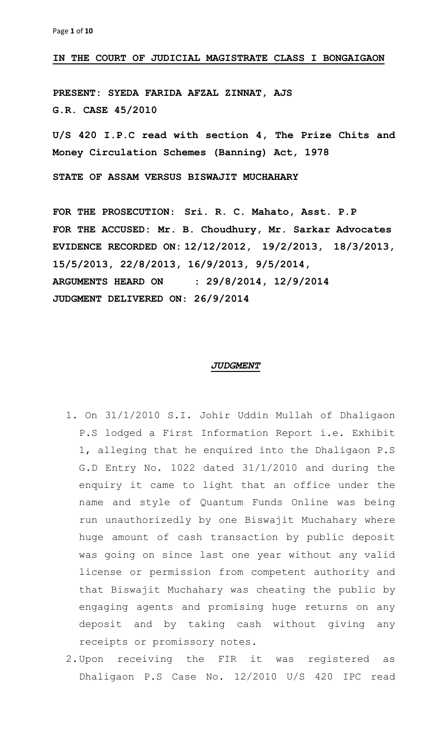## **IN THE COURT OF JUDICIAL MAGISTRATE CLASS I BONGAIGAON**

**PRESENT: SYEDA FARIDA AFZAL ZINNAT, AJS G.R. CASE 45/2010**

**U/S 420 I.P.C read with section 4, The Prize Chits and Money Circulation Schemes (Banning) Act, 1978**

**STATE OF ASSAM VERSUS BISWAJIT MUCHAHARY**

**FOR THE PROSECUTION**: **Sri. R. C. Mahato, Asst. P.P FOR THE ACCUSED: Mr. B. Choudhury, Mr. Sarkar Advocates EVIDENCE RECORDED ON: 12/12/2012, 19/2/2013, 18/3/2013, 15/5/2013, 22/8/2013, 16/9/2013, 9/5/2014, ARGUMENTS HEARD ON : 29/8/2014, 12/9/2014 JUDGMENT DELIVERED ON**: **26/9/2014**

## *JUDGMENT*

- 1. On 31/1/2010 S.I. Johir Uddin Mullah of Dhaligaon P.S lodged a First Information Report i.e. Exhibit 1, alleging that he enquired into the Dhaligaon P.S G.D Entry No. 1022 dated 31/1/2010 and during the enquiry it came to light that an office under the name and style of Quantum Funds Online was being run unauthorizedly by one Biswajit Muchahary where huge amount of cash transaction by public deposit was going on since last one year without any valid license or permission from competent authority and that Biswajit Muchahary was cheating the public by engaging agents and promising huge returns on any deposit and by taking cash without giving any receipts or promissory notes.
- 2.Upon receiving the FIR it was registered as Dhaligaon P.S Case No. 12/2010 U/S 420 IPC read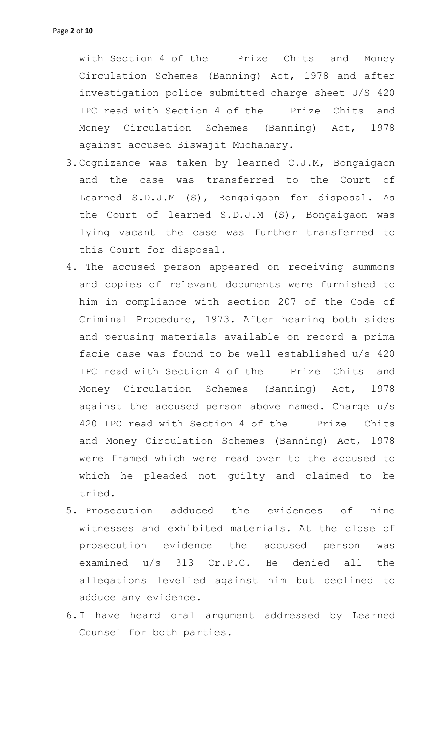with Section 4 of the Prize Chits and Money Circulation Schemes (Banning) Act, 1978 and after investigation police submitted charge sheet U/S 420 IPC read with Section 4 of the Prize Chits and Money Circulation Schemes (Banning) Act, 1978 against accused Biswajit Muchahary.

- 3.Cognizance was taken by learned C.J.M, Bongaigaon and the case was transferred to the Court of Learned S.D.J.M (S), Bongaigaon for disposal. As the Court of learned S.D.J.M (S), Bongaigaon was lying vacant the case was further transferred to this Court for disposal.
- 4. The accused person appeared on receiving summons and copies of relevant documents were furnished to him in compliance with section 207 of the Code of Criminal Procedure, 1973. After hearing both sides and perusing materials available on record a prima facie case was found to be well established u/s 420 IPC read with Section 4 of the Prize Chits and Money Circulation Schemes (Banning) Act, 1978 against the accused person above named. Charge u/s 420 IPC read with Section 4 of the Prize Chits and Money Circulation Schemes (Banning) Act, 1978 were framed which were read over to the accused to which he pleaded not guilty and claimed to be tried.
- 5. Prosecution adduced the evidences of nine witnesses and exhibited materials. At the close of prosecution evidence the accused person was examined u/s 313 Cr.P.C. He denied all the allegations levelled against him but declined to adduce any evidence.
- 6.I have heard oral argument addressed by Learned Counsel for both parties.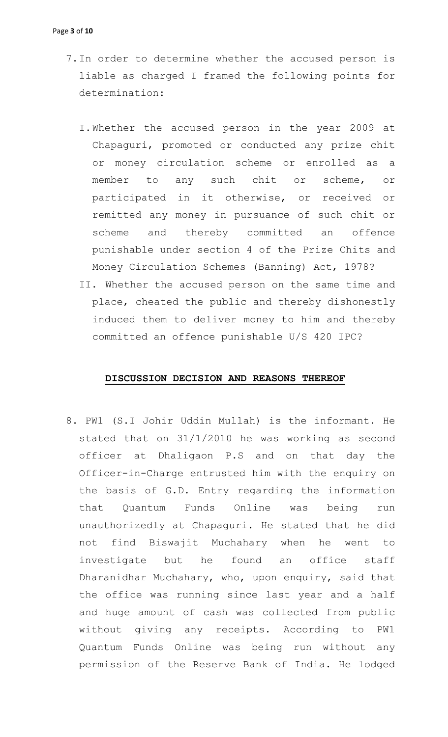- 7.In order to determine whether the accused person is liable as charged I framed the following points for determination:
	- I.Whether the accused person in the year 2009 at Chapaguri, promoted or conducted any prize chit or money circulation scheme or enrolled as a member to any such chit or scheme, or participated in it otherwise, or received or remitted any money in pursuance of such chit or scheme and thereby committed an offence punishable under section 4 of the Prize Chits and Money Circulation Schemes (Banning) Act, 1978?
	- II. Whether the accused person on the same time and place, cheated the public and thereby dishonestly induced them to deliver money to him and thereby committed an offence punishable U/S 420 IPC?

## **DISCUSSION DECISION AND REASONS THEREOF**

8. PW1 (S.I Johir Uddin Mullah) is the informant. He stated that on 31/1/2010 he was working as second officer at Dhaligaon P.S and on that day the Officer-in-Charge entrusted him with the enquiry on the basis of G.D. Entry regarding the information that Quantum Funds Online was being run unauthorizedly at Chapaguri. He stated that he did not find Biswajit Muchahary when he went to investigate but he found an office staff Dharanidhar Muchahary, who, upon enquiry, said that the office was running since last year and a half and huge amount of cash was collected from public without giving any receipts. According to PW1 Quantum Funds Online was being run without any permission of the Reserve Bank of India. He lodged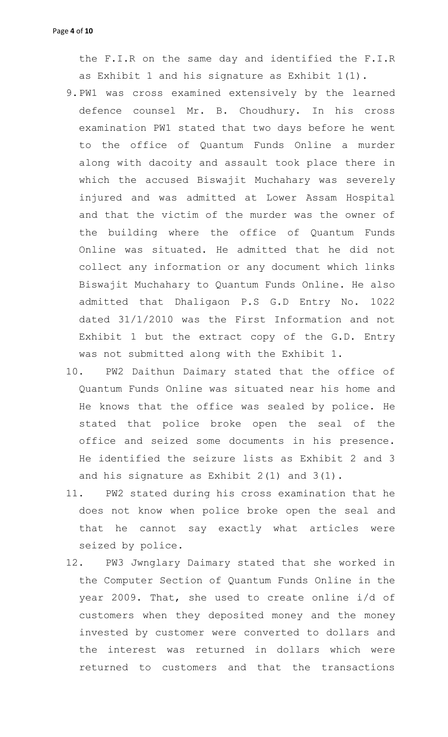the F.I.R on the same day and identified the F.I.R as Exhibit 1 and his signature as Exhibit 1(1).

- 9.PW1 was cross examined extensively by the learned defence counsel Mr. B. Choudhury. In his cross examination PW1 stated that two days before he went to the office of Quantum Funds Online a murder along with dacoity and assault took place there in which the accused Biswajit Muchahary was severely injured and was admitted at Lower Assam Hospital and that the victim of the murder was the owner of the building where the office of Quantum Funds Online was situated. He admitted that he did not collect any information or any document which links Biswajit Muchahary to Quantum Funds Online. He also admitted that Dhaligaon P.S G.D Entry No. 1022 dated 31/1/2010 was the First Information and not Exhibit 1 but the extract copy of the G.D. Entry was not submitted along with the Exhibit 1.
- 10. PW2 Daithun Daimary stated that the office of Quantum Funds Online was situated near his home and He knows that the office was sealed by police. He stated that police broke open the seal of the office and seized some documents in his presence. He identified the seizure lists as Exhibit 2 and 3 and his signature as Exhibit 2(1) and 3(1).
- 11. PW2 stated during his cross examination that he does not know when police broke open the seal and that he cannot say exactly what articles were seized by police.
- 12. PW3 Jwnglary Daimary stated that she worked in the Computer Section of Quantum Funds Online in the year 2009. That, she used to create online i/d of customers when they deposited money and the money invested by customer were converted to dollars and the interest was returned in dollars which were returned to customers and that the transactions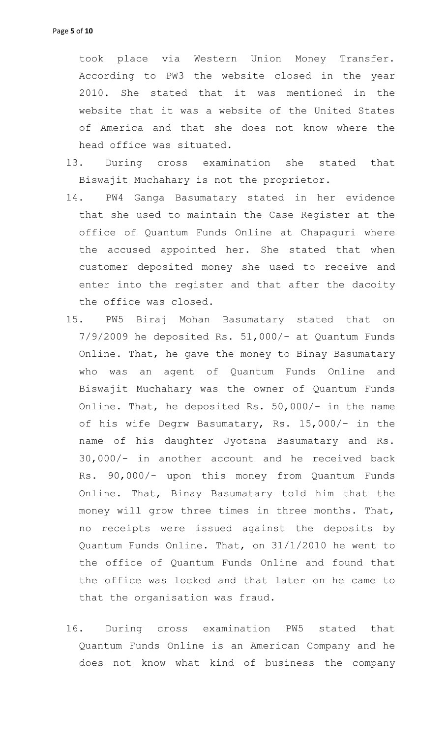took place via Western Union Money Transfer. According to PW3 the website closed in the year 2010. She stated that it was mentioned in the website that it was a website of the United States of America and that she does not know where the head office was situated.

- 13. During cross examination she stated that Biswajit Muchahary is not the proprietor.
- 14. PW4 Ganga Basumatary stated in her evidence that she used to maintain the Case Register at the office of Quantum Funds Online at Chapaguri where the accused appointed her. She stated that when customer deposited money she used to receive and enter into the register and that after the dacoity the office was closed.
- 15. PW5 Biraj Mohan Basumatary stated that on 7/9/2009 he deposited Rs. 51,000/- at Quantum Funds Online. That, he gave the money to Binay Basumatary who was an agent of Quantum Funds Online and Biswajit Muchahary was the owner of Quantum Funds Online. That, he deposited Rs. 50,000/- in the name of his wife Degrw Basumatary, Rs. 15,000/- in the name of his daughter Jyotsna Basumatary and Rs. 30,000/- in another account and he received back Rs. 90,000/- upon this money from Quantum Funds Online. That, Binay Basumatary told him that the money will grow three times in three months. That, no receipts were issued against the deposits by Quantum Funds Online. That, on 31/1/2010 he went to the office of Quantum Funds Online and found that the office was locked and that later on he came to that the organisation was fraud.
- 16. During cross examination PW5 stated that Quantum Funds Online is an American Company and he does not know what kind of business the company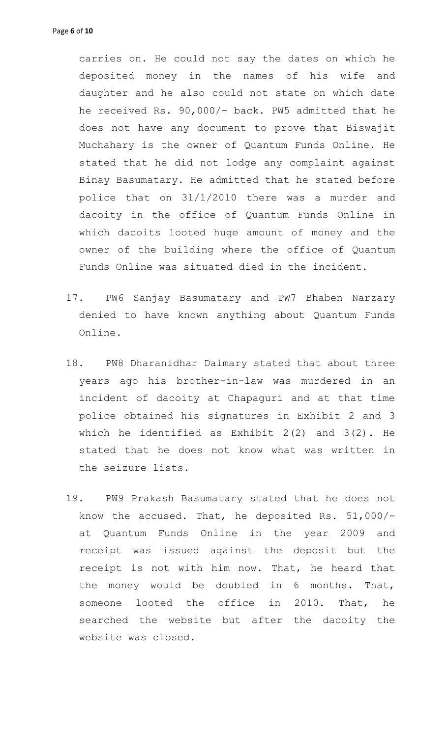carries on. He could not say the dates on which he deposited money in the names of his wife and daughter and he also could not state on which date he received Rs. 90,000/- back. PW5 admitted that he does not have any document to prove that Biswajit Muchahary is the owner of Quantum Funds Online. He stated that he did not lodge any complaint against Binay Basumatary. He admitted that he stated before police that on 31/1/2010 there was a murder and dacoity in the office of Quantum Funds Online in which dacoits looted huge amount of money and the owner of the building where the office of Quantum Funds Online was situated died in the incident.

- 17. PW6 Sanjay Basumatary and PW7 Bhaben Narzary denied to have known anything about Quantum Funds Online.
- 18. PW8 Dharanidhar Daimary stated that about three years ago his brother-in-law was murdered in an incident of dacoity at Chapaguri and at that time police obtained his signatures in Exhibit 2 and 3 which he identified as Exhibit  $2(2)$  and  $3(2)$ . He stated that he does not know what was written in the seizure lists.
- 19. PW9 Prakash Basumatary stated that he does not know the accused. That, he deposited Rs. 51,000/ at Quantum Funds Online in the year 2009 and receipt was issued against the deposit but the receipt is not with him now. That, he heard that the money would be doubled in 6 months. That, someone looted the office in 2010. That, he searched the website but after the dacoity the website was closed.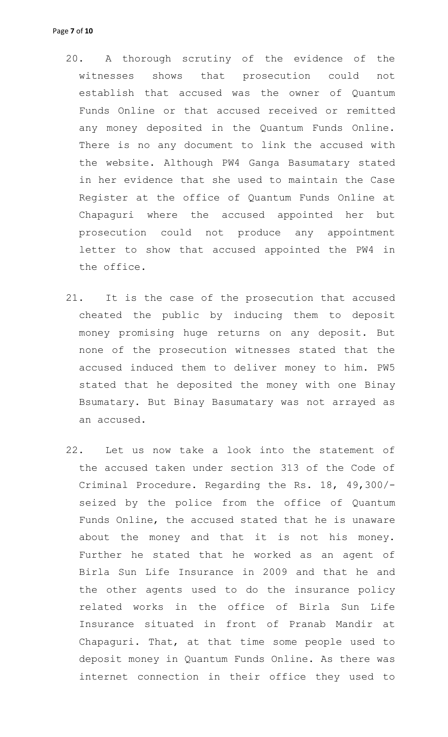- 20. A thorough scrutiny of the evidence of the witnesses shows that prosecution could not establish that accused was the owner of Quantum Funds Online or that accused received or remitted any money deposited in the Quantum Funds Online. There is no any document to link the accused with the website. Although PW4 Ganga Basumatary stated in her evidence that she used to maintain the Case Register at the office of Quantum Funds Online at Chapaguri where the accused appointed her but prosecution could not produce any appointment letter to show that accused appointed the PW4 in the office.
- 21. It is the case of the prosecution that accused cheated the public by inducing them to deposit money promising huge returns on any deposit. But none of the prosecution witnesses stated that the accused induced them to deliver money to him. PW5 stated that he deposited the money with one Binay Bsumatary. But Binay Basumatary was not arrayed as an accused.
- 22. Let us now take a look into the statement of the accused taken under section 313 of the Code of Criminal Procedure. Regarding the Rs. 18, 49,300/ seized by the police from the office of Quantum Funds Online, the accused stated that he is unaware about the money and that it is not his money. Further he stated that he worked as an agent of Birla Sun Life Insurance in 2009 and that he and the other agents used to do the insurance policy related works in the office of Birla Sun Life Insurance situated in front of Pranab Mandir at Chapaguri. That, at that time some people used to deposit money in Quantum Funds Online. As there was internet connection in their office they used to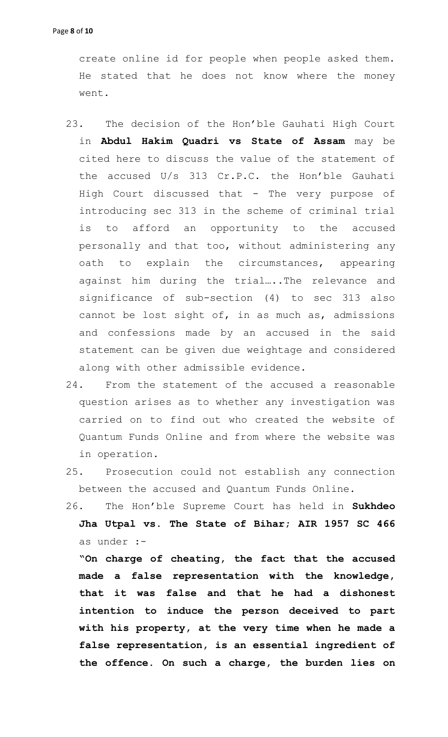create online id for people when people asked them. He stated that he does not know where the money went.

- 23. The decision of the Hon'ble Gauhati High Court in **Abdul Hakim Quadri vs State of Assam** may be cited here to discuss the value of the statement of the accused U/s 313 Cr.P.C. the Hon'ble Gauhati High Court discussed that - The very purpose of introducing sec 313 in the scheme of criminal trial to afford an opportunity to the accused personally and that too, without administering any oath to explain the circumstances, appearing against him during the trial…..The relevance and significance of sub-section (4) to sec 313 also cannot be lost sight of, in as much as, admissions and confessions made by an accused in the said statement can be given due weightage and considered along with other admissible evidence.
- 24. From the statement of the accused a reasonable question arises as to whether any investigation was carried on to find out who created the website of Quantum Funds Online and from where the website was in operation.
- 25. Prosecution could not establish any connection between the accused and Quantum Funds Online.
- 26. The Hon'ble Supreme Court has held in **Sukhdeo Jha Utpal vs. The State of Bihar; AIR 1957 SC 466** as under :-

**"On charge of cheating, the fact that the accused made a false representation with the knowledge, that it was false and that he had a dishonest intention to induce the person deceived to part with his property, at the very time when he made a false representation, is an essential ingredient of the offence. On such a charge, the burden lies on**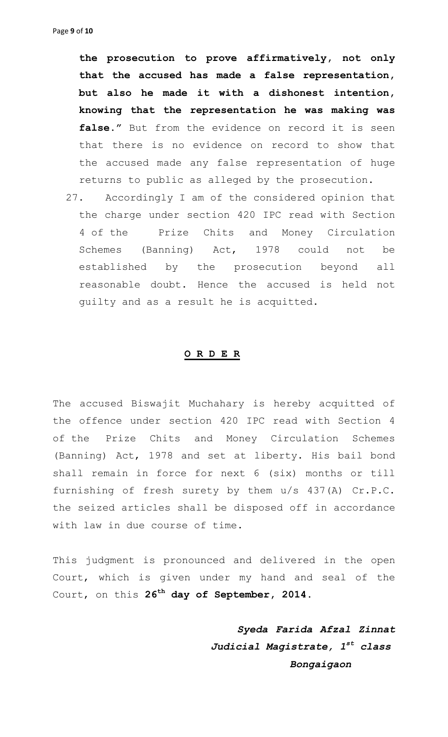**the prosecution to prove affirmatively, not only that the accused has made a false representation, but also he made it with a dishonest intention, knowing that the representation he was making was**  false." But from the evidence on record it is seen that there is no evidence on record to show that the accused made any false representation of huge returns to public as alleged by the prosecution.

27. Accordingly I am of the considered opinion that the charge under section 420 IPC read with Section 4 of the Prize Chits and Money Circulation Schemes (Banning) Act, 1978 could not be established by the prosecution beyond all reasonable doubt. Hence the accused is held not guilty and as a result he is acquitted.

## **O R D E R**

The accused Biswajit Muchahary is hereby acquitted of the offence under section 420 IPC read with Section 4 of the Prize Chits and Money Circulation Schemes (Banning) Act, 1978 and set at liberty. His bail bond shall remain in force for next 6 (six) months or till furnishing of fresh surety by them u/s 437(A) Cr.P.C. the seized articles shall be disposed off in accordance with law in due course of time.

This judgment is pronounced and delivered in the open Court, which is given under my hand and seal of the Court, on this **26 th day of September, 2014.**

> *Syeda Farida Afzal Zinnat Judicial Magistrate, 1st class Bongaigaon*